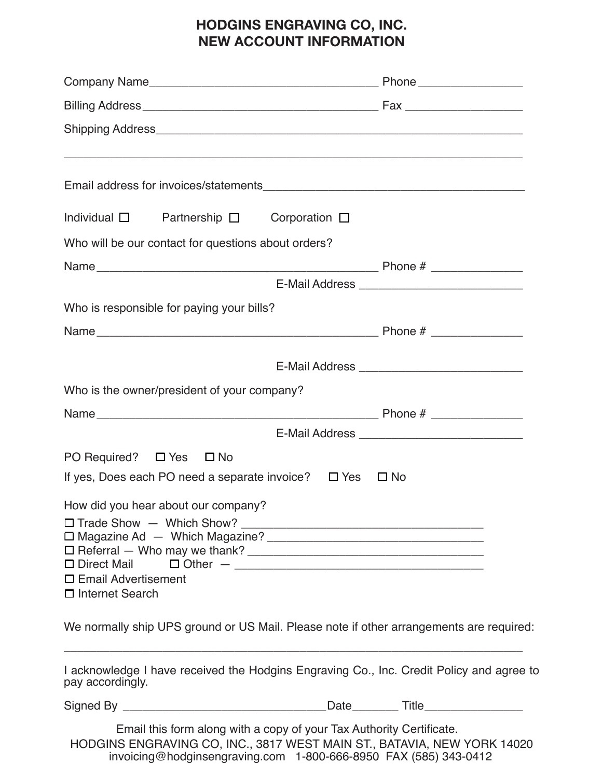## **HODGINS ENGRAVING CO, INC. NEW ACCOUNT INFORMATION**

| Individual $\square$ Partnership $\square$ Corporation $\square$                                                                                                                                                    |                                                |
|---------------------------------------------------------------------------------------------------------------------------------------------------------------------------------------------------------------------|------------------------------------------------|
| Who will be our contact for questions about orders?                                                                                                                                                                 |                                                |
|                                                                                                                                                                                                                     |                                                |
|                                                                                                                                                                                                                     |                                                |
| Who is responsible for paying your bills?                                                                                                                                                                           |                                                |
|                                                                                                                                                                                                                     |                                                |
|                                                                                                                                                                                                                     |                                                |
|                                                                                                                                                                                                                     |                                                |
| Who is the owner/president of your company?                                                                                                                                                                         |                                                |
|                                                                                                                                                                                                                     |                                                |
|                                                                                                                                                                                                                     | E-Mail Address _______________________________ |
| PO Required? □ Yes □ No                                                                                                                                                                                             |                                                |
| If yes, Does each PO need a separate invoice? $\Box$ Yes $\Box$ No                                                                                                                                                  |                                                |
| How did you hear about our company?                                                                                                                                                                                 |                                                |
|                                                                                                                                                                                                                     |                                                |
|                                                                                                                                                                                                                     |                                                |
|                                                                                                                                                                                                                     |                                                |
| $\Box$ Email Advertisement<br>$\Box$ Internet Search                                                                                                                                                                |                                                |
|                                                                                                                                                                                                                     |                                                |
| We normally ship UPS ground or US Mail. Please note if other arrangements are required:                                                                                                                             |                                                |
| I acknowledge I have received the Hodgins Engraving Co., Inc. Credit Policy and agree to<br>pay accordingly.                                                                                                        |                                                |
|                                                                                                                                                                                                                     |                                                |
| Email this form along with a copy of your Tax Authority Certificate.<br>HODGINS ENGRAVING CO, INC., 3817 WEST MAIN ST., BATAVIA, NEW YORK 14020<br>invoicing@hodginsengraving.com 1-800-666-8950 FAX (585) 343-0412 |                                                |